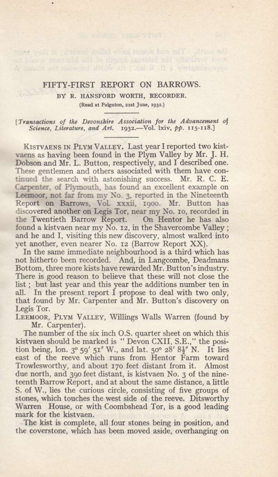## FIFTY.FIRST REPORT ON BARROWS.

BY R. HANSFORD WORTH, RECORDER.

wood vall it is not sold over any big it is not be a  $\tau \to \tau$  verifically the internal length of the kickwan would be a strong is an  $\tau$  -fine strong is a fine, ; its slice resonance is

(Read at Palgnton, 21st June, 1932.)

[Transactions of the Devonshire Association for the Advancement of Science, Literature, and Art. 1932. - Vol. lxiv, pp. 115-118.]

KISTVAENS IN PLYM VALLEY. Last year I reported two kistvaens as having been found in the Plym Valley by Mr. J. H. Dobson and Mr. L. Button, respectively, and I described one. These gentlemen and others associated with them have continued the search with astonishing success. Mr. R. C. E. Carpenter, of Plymouth, has found an excellent example on Leemoor, not far from my No. 3, reported in the Nineteenth Report on Barrows, Vol. xxxii, rgoo. Mr. Button has discovered another on Legis Tor, near my No. 10, recorded in the Twentieth Barrow Report. On Hentor he has also found a kistvaen near my No. 12, in the Shavercombe Valley ; and he and I, visiting this new discovery, almost walked into yet another, even nearer No. rz (Barrow Report XX).

In the same immediate neighbourhood is a third which has not hitherto been recorded. And, in Langcombe, Deadmans Bottom, three more kists have rewarded Mr. Button's industry. There is good reason to believe that these will not close the list; but last year and this year the additions number ten in all. In the present report I propose to deal with two only, that found by Mr. Carpenter and Mr. Button's discovery on Legis Tor.

LEEMOOR, PLYM VALLEY, Willings Walls Warren (found by Mr. Carpenter).

The number of the six inch O.S. quarter sheet on which this kistvaen should be marked is " Devon CXII, S.E.," the position being, lon.  $3^{\circ}$  59' 51" W., and lat.  $50^{\circ}$  28'  $8\frac{1}{2}$ " N. It lies east of the reeve which runs from Hentor Farm toward Trowlesworthy, and about r7o feet distant from it. Almost due north, and 39o feet distant, is kistvaen No. 3 of the nineteenth Barrow Report, and at about the same distance, a little S. of W., lies the curious circle, consisting of five groups of stones, which touches the west side of the reeve. Ditsworthy Warren House, or with Coombshead Tor, is a good leading mark for the kistvaen.

The kist is complete, all four stones being in position, and the coverstone, which has been moved aside, overhanging on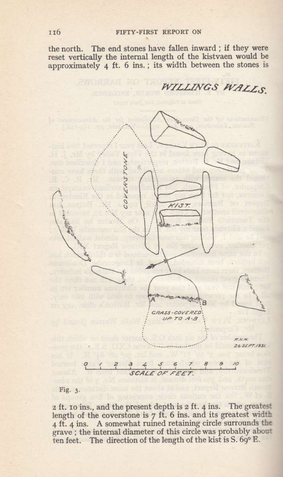the north. The end stones have fallen inward; if they were<br>reset vertically the internal length of the kistvaen would be<br>approximately 4 ft. 6 ins.; its width between the stones is

WILLINGS WALLS



## Fig. 3.

2 ft. 10 ins., and the present depth is 2 ft. 4 ins. The greatest 2 it. 10 ins., and the present depth is 2 it. 4 its greatest width 4 ft. 4 ins. A somewhat ruined retaining circle surrounds the grave; the internal diameter of this circle was probably about ten feet. The direction of th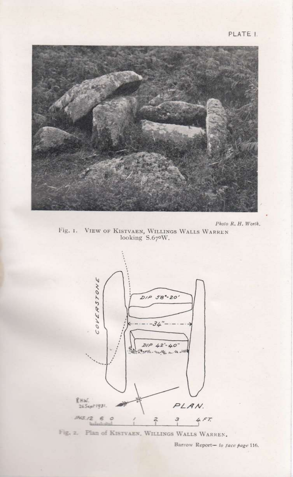

Photo R. H. Worth.

Fig. 1. VIEW OF KISTVAEN, WILLINGS WALLS WARREN looking S.670W.



Fig. 2. Plan of KISTVAEN, WILLINGS WALLS WARREN.

Barrow Report- to tace page 116.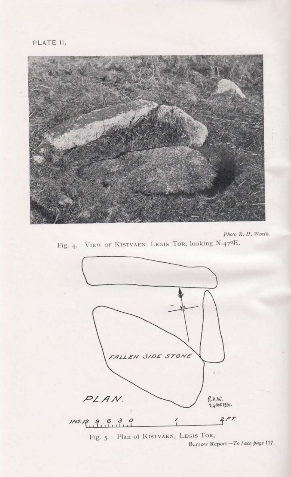

Photo R. H. Worth. Fig. 4. VIEW OF KISTVAEN, LEGIS TOR, looking N.47ºE.



Barrow Report-To face page 117.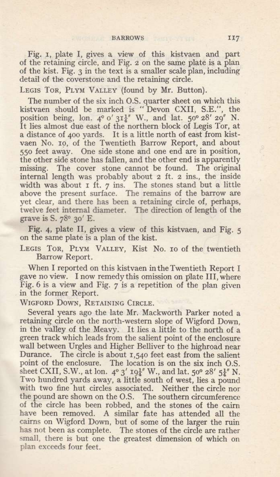Fig. r, plate I, gives a view of this kistvaen and part of the retaining circle, and Fig. z on the same plate is a plan of the kist. Fig. 3 in the text is a smaller scale plan, including detail of the coverstone and the retaining circle.

LEGIS TOR, PLYM VALLEY (found by Mr. Button).

The number of the six inch O.S. quarter sheet on which this kistvaen should be marked is " Devon CXII, S.E.", the position being, lon.  $4^{\circ}$  o'  $3I_4^{1}$ " W., and lat.  $50^{\circ}$   $28'$   $20''$  N. It lies almost due east of the northern block of Legis Tor, at a distance of 4oo yards. It is a little north of east from kistvaen No. ro, of the Twentieth Barrow Report, and about 55o feet away. One side stone and one end are in position, the other side stone has fallen, and the other end is apparently missing. The cover stone cannot be found. The original internal length was probably about z ft. z ins., the inside width was about I ft. 7 ins. The stones stand but a little above the present surface. The remains of the barrow are yet clear, and there has been a retaining circle of, perhaps, twelve feet internal diameter. The direction of length of the grave is S.  $78^\circ$  30' E.

Fig. 4, plate II, gives a view of this kistvaen, and Fig. 5 on the same plate is a plan of the kist.

LEGIS TOR, PLYM VALLEY, Kist No. 10 of the twentieth Barrow Report.

When I reported on this kistvaen intheTwentieth Report I gave no view. I now remedy this omission on plate III, where Fig.6 is a view and Fig. 7 is a repetition of the plan given in the former Report.

WIGFORD DOWN, RETAINING CIRCLE.

Several years ago the late Mr. Mackworth Parker noted a retaining circle on the north-western slope of Wigford Down, in the valley of the Meavy. It lies a little to the north of <sup>a</sup> green track which leads from the salient point of the enclosure wall between Urgles and Higher Belliver to the highroad near Durance. The circle is about r,54o feet east from the salient point of the enclosure. The location is on the six inch O,S. sheet CXII, S.W., at lon.  $4^{\circ}3'$  19<sup>1</sup>/<sub>4</sub>' W., and lat. 50° 28' 5<sup>1</sup>/<sub>4</sub>' N. Two hundred yards away, a little south of west, lies a pound with two fine hut circles associated. Neither the circle nor the pound are shown on the O.S. The southern circumference of the circle has been robbed, and the stones of the cairn have been removed. A similar fate has attended all the cairns on Wigford Down, but of some of the larger the ruin has not been as complete. The stones of the circle are rather small, there is but one the greatest dimension of which on plan exceeds four feet.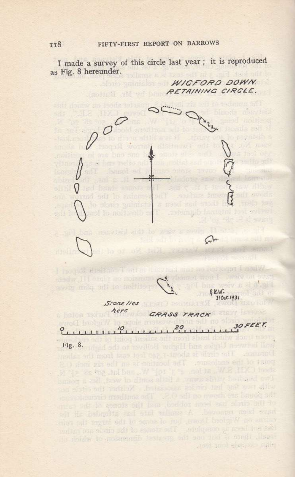I made a survey of this circle last year; it is reproduced as Fig. 8 hereunder.

WIGFORD DOWN RETAINING CIRCLE.



is thidw to missenth techors on and ind a card alaso

stood mind assassing right